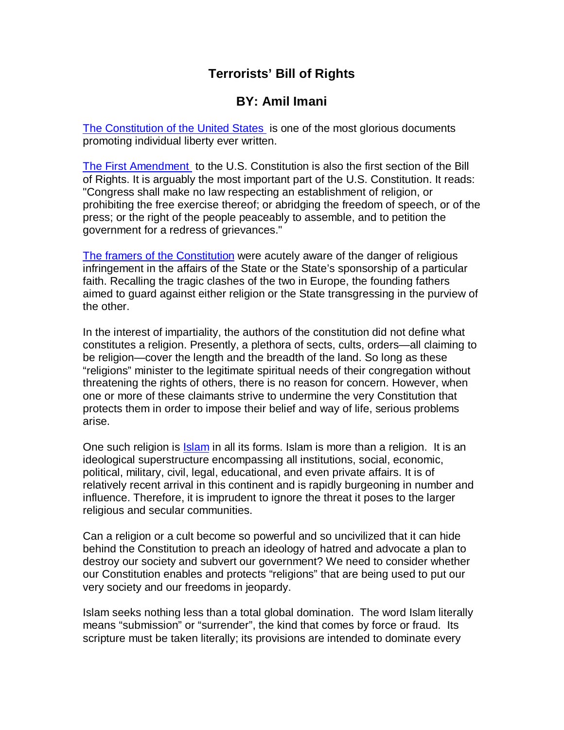# **Terrorists' Bill of Rights**

## **BY: Amil Imani**

[The Constitution of the United States](http://www.archives.gov/national-archives-experience/charters/constitution.html) is one of the most glorious documents promoting individual liberty ever written.

[The First Amendment](http://en.wikipedia.org/wiki/First_Amendment) to the U.S. Constitution is also the first section of the Bill of Rights. It is arguably the most important part of the U.S. Constitution. It reads: "Congress shall make no law respecting an establishment of religion, or prohibiting the free exercise thereof; or abridging the freedom of speech, or of the press; or the right of the people peaceably to assemble, and to petition the government for a redress of grievances."

[The framers of the Constitution were acutely aware of the danger of religious](http://en.wikipedia.org/wiki/Founding_Fathers_of_the_United_States)  infringement in the affairs of the State or the State's sponsorship of a particular faith. Recalling the tragic clashes of the two in Europe, the founding fathers aimed to guard against either religion or the State transgressing in the purview of the other.

In the interest of impartiality, the authors of the constitution did not define what constitutes a religion. Presently, a plethora of sects, cults, orders—all claiming to be religion—cover the length and the breadth of the land. So long as these "religions" minister to the legitimate spiritual needs of their congregation without threatening the rights of others, there is no reason for concern. However, when one or more of these claimants strive to undermine the very Constitution that protects them in order to impose their belief and way of life, serious problems arise.

One such religion is Islam in all its forms. Islam is more than a religion. It is an ideological superstructure encompassing all institutions, social, economic, political, military, civil, legal, educational, and even private affairs. It is of relatively recent arrival in this continent and is rapidly burgeoning in number and influence. Therefore, it is imprudent to ignore the threat it poses to the larger religious and secular communities.

Can a religion or a cult become so powerful and so uncivilized that it can hide behind the Constitution to preach an ideology of hatred and advocate a plan to destroy our society and subvert our government? We need to consider whether our Constitution enables and protects "religions" that are being used to put our very society and our freedoms in jeopardy.

Islam seeks nothing less than a total global domination. The word Islam literally means "submission" or "surrender", the kind that comes by force or fraud. Its scripture must be taken literally; its provisions are intended to dominate every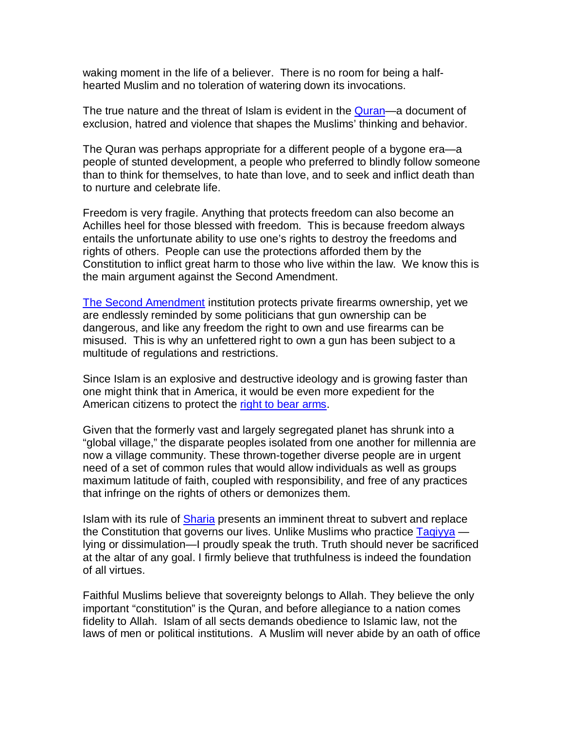waking moment in the life of a believer. There is no room for being a halfhearted Muslim and no toleration of watering down its invocations.

The true nature and the threat of Islam is evident in the **Quran—a document of** exclusion, hatred and violence that shapes the Muslims' thinking and behavior.

The Quran was perhaps appropriate for a different people of a bygone era—a people of stunted development, a people who preferred to blindly follow someone than to think for themselves, to hate than love, and to seek and inflict death than to nurture and celebrate life.

Freedom is very fragile. Anything that protects freedom can also become an Achilles heel for those blessed with freedom. This is because freedom always entails the unfortunate ability to use one's rights to destroy the freedoms and rights of others. People can use the protections afforded them by the Constitution to inflict great harm to those who live within the law. We know this is the main argument against the Second Amendment.

[The Second Amendment](http://en.wikipedia.org/wiki/Second_Amendment_to_the_United_States_Co) institution protects private firearms ownership, yet we are endlessly reminded by some politicians that gun ownership can be dangerous, and like any freedom the right to own and use firearms can be misused. This is why an unfettered right to own a gun has been subject to a multitude of regulations and restrictions.

Since Islam is an explosive and destructive ideology and is growing faster than one might think that in America, it would be even more expedient for the American citizens to protect the [right to bear arms.](http://en.wikipedia.org/wiki/Right_to_bear_arms)

Given that the formerly vast and largely segregated planet has shrunk into a "global village," the disparate peoples isolated from one another for millennia are now a village community. These thrown-together diverse people are in urgent need of a set of common rules that would allow individuals as well as groups maximum latitude of faith, coupled with responsibility, and free of any practices that infringe on the rights of others or demonizes them.

Islam with its rule of Sharia presents an imminent threat to subvert and replace the Constitution that governs our lives. Unlike Muslims who practice Tagiyya lying or dissimulation—I proudly speak the truth. Truth should never be sacrificed at the altar of any goal. I firmly believe that truthfulness is indeed the foundation of all virtues.

Faithful Muslims believe that sovereignty belongs to Allah. They believe the only important "constitution" is the Quran, and before allegiance to a nation comes fidelity to Allah. Islam of all sects demands obedience to Islamic law, not the laws of men or political institutions. A Muslim will never abide by an oath of office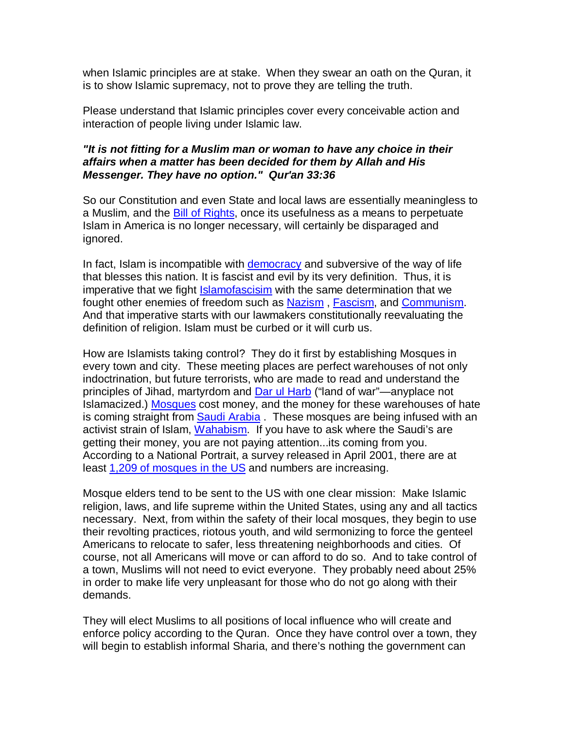when Islamic principles are at stake. When they swear an oath on the Quran, it is to show Islamic supremacy, not to prove they are telling the truth.

Please understand that Islamic principles cover every conceivable action and interaction of people living under Islamic law.

## **"It is not fitting for a Muslim man or woman to have any choice in their affairs when a matter has been decided for them by Allah and His Messenger. They have no option." Qur'an 33:36**

So our Constitution and even State and local laws are essentially meaningless to a Muslim, and the Bill of Rights, once its usefulness as a means to perpetuate Islam in America is no longer necessary, will certainly be disparaged and ignored.

In fact, Islam is incompatible with [democracy and subversive of the way of life](http://en.wikipedia.org/wiki/Democracy)  that blesses this nation. It is fascist and evil by its very definition. Thus, it is imperative that we fight [Islamofascisim with the same determination that we](http://en.wikipedia.org/wiki/Islamofascism)  fought other enemies of freedom such as [Nazism](http://en.wikipedia.org/wiki/Nazism), [Fascism](http://en.wikipedia.org/wiki/Fascism), and [Communism](http://en.wikipedia.org/wiki/Communism). And that imperative starts with our lawmakers constitutionally reevaluating the definition of religion. Islam must be curbed or it will curb us.

How are Islamists taking control? They do it first by establishing Mosques in every town and city. These meeting places are perfect warehouses of not only indoctrination, but future terrorists, who are made to read and understand the principles of Jihad, martyrdom and [Dar ul Harb \("land of war"—anyplace not](http://www.columbia.edu/itc/mealac/pritchett/00islamlinks/ikram/glossary.html)  Islamacized.) [Mosques](http://en.wikipedia.org/wiki/Mosque) cost money, and the money for these warehouses of hate is coming straight from [Saudi Arabia . These mosques are being infused with an](http://en.wikipedia.org/wiki/Saudi_Arabia)  activist strain of Islam, [Wahabism](http://en.wikipedia.org/wiki/Wahhabi). If you have to ask where the Saudi's are getting their money, you are not paying attention...its coming from you. According to a National Portrait, a survey released in April 2001, there are at least [1,209 of mosques in the US](http://www.allied-media.com/AM/index.html) and numbers are increasing.

Mosque elders tend to be sent to the US with one clear mission: Make Islamic religion, laws, and life supreme within the United States, using any and all tactics necessary. Next, from within the safety of their local mosques, they begin to use their revolting practices, riotous youth, and wild sermonizing to force the genteel Americans to relocate to safer, less threatening neighborhoods and cities. Of course, not all Americans will move or can afford to do so. And to take control of a town, Muslims will not need to evict everyone. They probably need about 25% in order to make life very unpleasant for those who do not go along with their demands.

They will elect Muslims to all positions of local influence who will create and enforce policy according to the Quran. Once they have control over a town, they will begin to establish informal Sharia, and there's nothing the government can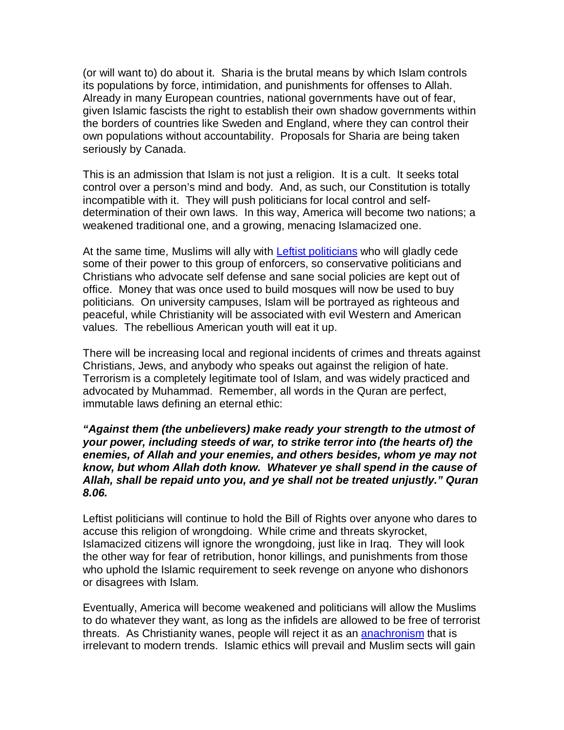(or will want to) do about it. Sharia is the brutal means by which Islam controls its populations by force, intimidation, and punishments for offenses to Allah. Already in many European countries, national governments have out of fear, given Islamic fascists the right to establish their own shadow governments within the borders of countries like Sweden and England, where they can control their own populations without accountability. Proposals for Sharia are being taken seriously by Canada.

This is an admission that Islam is not just a religion. It is a cult. It seeks total control over a person's mind and body. And, as such, our Constitution is totally incompatible with it. They will push politicians for local control and selfdetermination of their own laws. In this way, America will become two nations; a weakened traditional one, and a growing, menacing Islamacized one.

At the same time, Muslims will ally with [Leftist politicians who will gladly cede](http://en.wikipedia.org/wiki/Left-wing_politics)  some of their power to this group of enforcers, so conservative politicians and Christians who advocate self defense and sane social policies are kept out of office. Money that was once used to build mosques will now be used to buy politicians. On university campuses, Islam will be portrayed as righteous and peaceful, while Christianity will be associated with evil Western and American values. The rebellious American youth will eat it up.

There will be increasing local and regional incidents of crimes and threats against Christians, Jews, and anybody who speaks out against the religion of hate. Terrorism is a completely legitimate tool of Islam, and was widely practiced and advocated by Muhammad. Remember, all words in the Quran are perfect, immutable laws defining an eternal ethic:

### **"Against them (the unbelievers) make ready your strength to the utmost of your power, including steeds of war, to strike terror into (the hearts of) the enemies, of Allah and your enemies, and others besides, whom ye may not know, but whom Allah doth know. Whatever ye shall spend in the cause of Allah, shall be repaid unto you, and ye shall not be treated unjustly." Quran 8.06.**

Leftist politicians will continue to hold the Bill of Rights over anyone who dares to accuse this religion of wrongdoing. While crime and threats skyrocket, Islamacized citizens will ignore the wrongdoing, just like in Iraq. They will look the other way for fear of retribution, honor killings, and punishments from those who uphold the Islamic requirement to seek revenge on anyone who dishonors or disagrees with Islam.

Eventually, America will become weakened and politicians will allow the Muslims to do whatever they want, as long as the infidels are allowed to be free of terrorist threats. As Christianity wanes, people will reject it as an **anachronism** that is irrelevant to modern trends. Islamic ethics will prevail and Muslim sects will gain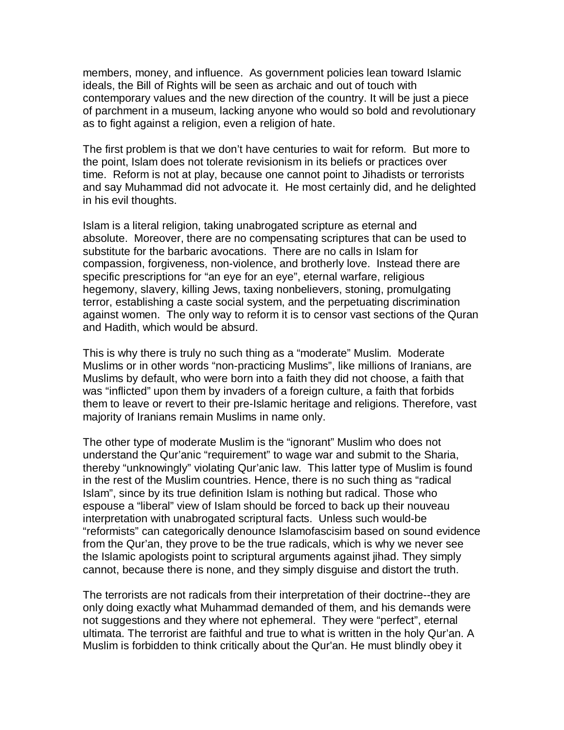members, money, and influence. As government policies lean toward Islamic ideals, the Bill of Rights will be seen as archaic and out of touch with contemporary values and the new direction of the country. It will be just a piece of parchment in a museum, lacking anyone who would so bold and revolutionary as to fight against a religion, even a religion of hate.

The first problem is that we don't have centuries to wait for reform. But more to the point, Islam does not tolerate revisionism in its beliefs or practices over time. Reform is not at play, because one cannot point to Jihadists or terrorists and say Muhammad did not advocate it. He most certainly did, and he delighted in his evil thoughts.

Islam is a literal religion, taking unabrogated scripture as eternal and absolute. Moreover, there are no compensating scriptures that can be used to substitute for the barbaric avocations. There are no calls in Islam for compassion, forgiveness, non-violence, and brotherly love. Instead there are specific prescriptions for "an eye for an eye", eternal warfare, religious hegemony, slavery, killing Jews, taxing nonbelievers, stoning, promulgating terror, establishing a caste social system, and the perpetuating discrimination against women. The only way to reform it is to censor vast sections of the Quran and Hadith, which would be absurd.

This is why there is truly no such thing as a "moderate" Muslim. Moderate Muslims or in other words "non-practicing Muslims", like millions of Iranians, are Muslims by default, who were born into a faith they did not choose, a faith that was "inflicted" upon them by invaders of a foreign culture, a faith that forbids them to leave or revert to their pre-Islamic heritage and religions. Therefore, vast majority of Iranians remain Muslims in name only.

The other type of moderate Muslim is the "ignorant" Muslim who does not understand the Qur'anic "requirement" to wage war and submit to the Sharia, thereby "unknowingly" violating Qur'anic law. This latter type of Muslim is found in the rest of the Muslim countries. Hence, there is no such thing as "radical Islam", since by its true definition Islam is nothing but radical. Those who espouse a "liberal" view of Islam should be forced to back up their nouveau interpretation with unabrogated scriptural facts. Unless such would-be "reformists" can categorically denounce Islamofascisim based on sound evidence from the Qur'an, they prove to be the true radicals, which is why we never see the Islamic apologists point to scriptural arguments against jihad. They simply cannot, because there is none, and they simply disguise and distort the truth.

The terrorists are not radicals from their interpretation of their doctrine--they are only doing exactly what Muhammad demanded of them, and his demands were not suggestions and they where not ephemeral. They were "perfect", eternal ultimata. The terrorist are faithful and true to what is written in the holy Qur'an. A Muslim is forbidden to think critically about the Qur'an. He must blindly obey it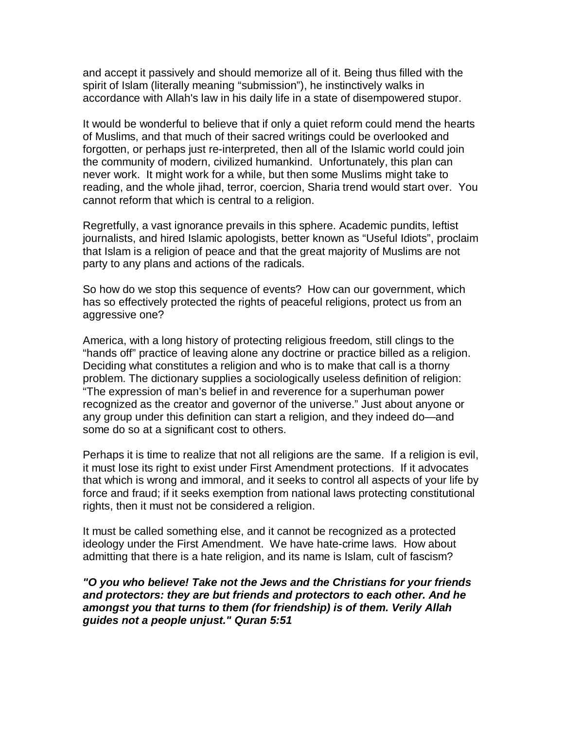and accept it passively and should memorize all of it. Being thus filled with the spirit of Islam (literally meaning "submission"), he instinctively walks in accordance with Allah's law in his daily life in a state of disempowered stupor.

It would be wonderful to believe that if only a quiet reform could mend the hearts of Muslims, and that much of their sacred writings could be overlooked and forgotten, or perhaps just re-interpreted, then all of the Islamic world could join the community of modern, civilized humankind. Unfortunately, this plan can never work. It might work for a while, but then some Muslims might take to reading, and the whole jihad, terror, coercion, Sharia trend would start over. You cannot reform that which is central to a religion.

Regretfully, a vast ignorance prevails in this sphere. Academic pundits, leftist journalists, and hired Islamic apologists, better known as "Useful Idiots", proclaim that Islam is a religion of peace and that the great majority of Muslims are not party to any plans and actions of the radicals.

So how do we stop this sequence of events? How can our government, which has so effectively protected the rights of peaceful religions, protect us from an aggressive one?

America, with a long history of protecting religious freedom, still clings to the "hands off" practice of leaving alone any doctrine or practice billed as a religion. Deciding what constitutes a religion and who is to make that call is a thorny problem. The dictionary supplies a sociologically useless definition of religion: "The expression of man's belief in and reverence for a superhuman power recognized as the creator and governor of the universe." Just about anyone or any group under this definition can start a religion, and they indeed do—and some do so at a significant cost to others.

Perhaps it is time to realize that not all religions are the same. If a religion is evil, it must lose its right to exist under First Amendment protections. If it advocates that which is wrong and immoral, and it seeks to control all aspects of your life by force and fraud; if it seeks exemption from national laws protecting constitutional rights, then it must not be considered a religion.

It must be called something else, and it cannot be recognized as a protected ideology under the First Amendment. We have hate-crime laws. How about admitting that there is a hate religion, and its name is Islam, cult of fascism?

**"O you who believe! Take not the Jews and the Christians for your friends and protectors: they are but friends and protectors to each other. And he amongst you that turns to them (for friendship) is of them. Verily Allah guides not a people unjust." Quran 5:51**